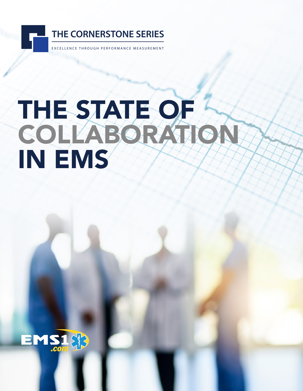

# THE STATE OF COLLABORATION IN EMS

1 The State of Collaboration in EMS

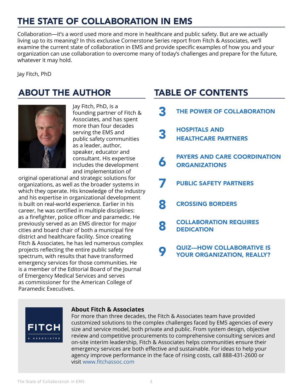# THE STATE OF COLLABORATION IN EMS

Collaboration—it's a word used more and more in healthcare and public safety. But are we actually living up to its meaning? In this exclusive Cornerstone Series report from Fitch & Associates, we'll examine the current state of collaboration in EMS and provide specific examples of how you and your organization can use collaboration to overcome many of today's challenges and prepare for the future, whatever it may hold.

Jay Fitch, PhD

# ABOUT THE AUTHOR TABLE OF CONTENTS



Jay Fitch, PhD, is a founding partner of Fitch & Associates, and has spent more than four decades serving the EMS and public safety communities as a leader, author, speaker, educator and consultant. His expertise includes the development and implementation of

original operational and strategic solutions for organizations, as well as the broader systems in which they operate. His knowledge of the industry and his expertise in organizational development is built on real-world experience. Earlier in his career, he was certified in multiple disciplines: as a firefighter, police officer and paramedic. He previously served as an EMS director for major cities and board chair of both a municipal fire district and healthcare facility. Since creating Fitch & Associates, he has led numerous complex projects reflecting the entire public safety spectrum, with results that have transformed emergency services for those communities. He is a member of the Editorial Board of the Journal of Emergency Medical Services and serves as commissioner for the American College of Paramedic Executives.

| 3 | THE POWER OF COLLABORATION                                            |
|---|-----------------------------------------------------------------------|
| 3 | <b>HOSPITALS AND</b><br><b>HEALTHCARE PARTNERS</b>                    |
| 6 | <b>PAYERS AND CARE COORDINATION</b><br><b>ORGANIZATIONS</b>           |
| 7 | <b>PUBLIC SAFETY PARTNERS</b>                                         |
| 8 | <b>CROSSING BORDERS</b>                                               |
| 8 | <b>COLLABORATION REQUIRES</b><br><b>DEDICATION</b>                    |
|   | <b>QUIZ-HOW COLLABORATIVE IS</b><br><b>YOUR ORGANIZATION, REALLY?</b> |



### **About Fitch & Associates**

For more than three decades, the Fitch & Associates team have provided customized solutions to the complex challenges faced by EMS agencies of every size and service model, both private and public. From system design, objective review and competitive procurements to comprehensive consulting services and on-site interim leadership, Fitch & Associates helps communities ensure their emergency services are both effective and sustainable. For ideas to help your agency improve performance in the face of rising costs, call 888-431-2600 or visit [www.fitchassoc.com](http://www.fitchassoc.com)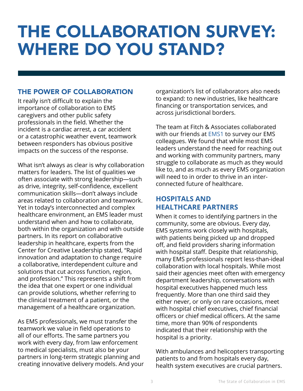# <span id="page-2-0"></span>THE COLLABORATION SURVEY: WHERE DO YOU STAND?

## THE POWER OF COLLABORATION

It really isn't difficult to explain the importance of collaboration to EMS caregivers and other public safety professionals in the field. Whether the incident is a cardiac arrest, a car accident or a catastrophic weather event, teamwork between responders has obvious positive impacts on the success of the response.

What isn't always as clear is why collaboration matters for leaders. The list of qualities we often associate with strong leadership—such as drive, integrity, self-confidence, excellent communication skills—don't always include areas related to collaboration and teamwork. Yet in today's interconnected and complex healthcare environment, an EMS leader must understand when and how to collaborate, both within the organization and with outside partners. In its report on collaborative leadership in healthcare, experts from the Center for Creative Leadership stated, "Rapid innovation and adaptation to change require a collaborative, interdependent culture and solutions that cut across function, region, and profession." This represents a shift from the idea that one expert or one individual can provide solutions, whether referring to the clinical treatment of a patient, or the management of a healthcare organization.

As EMS professionals, we must transfer the teamwork we value in field operations to all of our efforts. The same partners you work with every day, from law enforcement to medical specialists, must also be your partners in long-term strategic planning and creating innovative delivery models. And your

organization's list of collaborators also needs to expand: to new industries, like healthcare financing or transportation services, and across jurisdictional borders.

The team at Fitch & Associates collaborated with our friends at [EMS1](https://www.ems1.com/) to survey our EMS colleagues. We found that while most EMS leaders understand the need for reaching out and working with community partners, many struggle to collaborate as much as they would like to, and as much as every EMS organization will need to in order to thrive in an interconnected future of healthcare.

## **HOSPITALS AND HEALTHCARE PARTNERS**

When it comes to identifying partners in the community, some are obvious. Every day, EMS systems work closely with hospitals, with patients being picked up and dropped off, and field providers sharing information with hospital staff. Despite that relationship, many EMS professionals report less-than-ideal collaboration with local hospitals. While most said their agencies meet often with emergency department leadership, conversations with hospital executives happened much less frequently. More than one third said they either never, or only on rare occasions, meet with hospital chief executives, chief financial officers or chief medical officers. At the same time, more than 90% of respondents indicated that their relationship with the hospital is a priority.

With ambulances and helicopters transporting patients to and from hospitals every day, health system executives are crucial partners.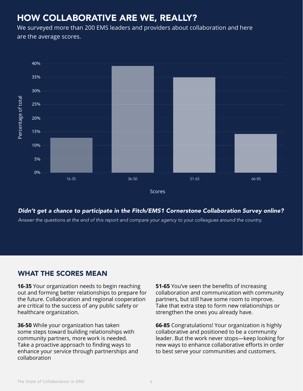## HOW COLLABORATIVE ARE WE, REALLY?

We surveyed more than 200 EMS leaders and providers about collaboration and here are the average scores.



### *Didn't get a chance to participate in the Fitch/EMS1 Cornerstone Collaboration Survey online?*

## WHAT THE SCORES MEAN

**16-35** Your organization needs to begin reaching out and forming better relationships to prepare for the future. Collaboration and regional cooperation are critical to the success of any public safety or healthcare organization.

**36-50** While your organization has taken some steps toward building relationships with community partners, more work is needed. Take a proactive approach to finding ways to enhance your service through partnerships and collaboration

**51-65** You've seen the benefits of increasing collaboration and communication with community partners, but still have some room to improve. Take that extra step to form new relationships or strengthen the ones you already have.

**66-85** Congratulations! Your organization is highly collaborative and positioned to be a community leader. But the work never stops—keep looking for new ways to enhance collaborative efforts in order to best serve your communities and customers.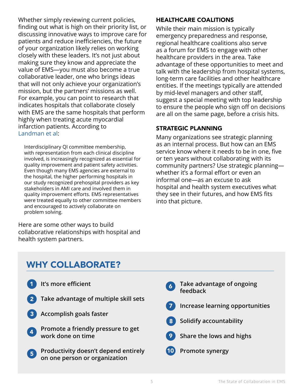Whether simply reviewing current policies, finding out what is high on their priority list, or discussing innovative ways to improve care for patients and reduce inefficiencies, the future of your organization likely relies on working closely with these leaders. It's not just about making sure they know and appreciate the value of EMS—you must also become a true collaborative leader, one who brings ideas that will not only achieve your organization's mission, but the partners' missions as well. For example, you can point to research that indicates hospitals that collaborate closely with EMS are the same hospitals that perform highly when treating acute myocardial infarction patients. According to [Landman et al](https://www.ncbi.nlm.nih.gov/pmc/articles/PMC3688052/ ):

Interdisciplinary QI committee membership, with representation from each clinical discipline involved, is increasingly recognized as essential for quality improvement and patient safety activities. Even though many EMS agencies are external to the hospital, the higher performing hospitals in our study recognized prehospital providers as key stakeholders in AMI care and involved them in quality improvement efforts. EMS representatives were treated equally to other committee members and encouraged to actively collaborate on problem solving.

Here are some other ways to build collaborative relationships with hospital and health system partners.

## HEALTHCARE COALITIONS

While their main mission is typically emergency preparedness and response, regional healthcare coalitions also serve as a forum for EMS to engage with other healthcare providers in the area. Take advantage of these opportunities to meet and talk with the leadership from hospital systems, long-term care facilities and other healthcare entities. If the meetings typically are attended by mid-level managers and other staff, suggest a special meeting with top leadership to ensure the people who sign off on decisions are all on the same page, before a crisis hits.

## STRATEGIC PLANNING

Many organizations see strategic planning as an internal process. But how can an EMS service know where it needs to be in one, five or ten years without collaborating with its community partners? Use strategic planning whether it's a formal effort or even an informal one—as an excuse to ask hospital and health system executives what they see in their futures, and how EMS fits into that picture.

## WHY COLLABORATE?

- **It's more efficient** 1
- **Take advantage of multiple skill sets** 2
- **Accomplish goals faster** 3
- **Promote a friendly pressure to get work done on time** 4
- **Productivity doesn't depend entirely on one person or organization** 5
- **Take advantage of ongoing feedback** 6
- **Increase learning opportunities** 7
- **Solidify accountability** 8
- **Share the lows and highs** 9
- **Promote synergy** 10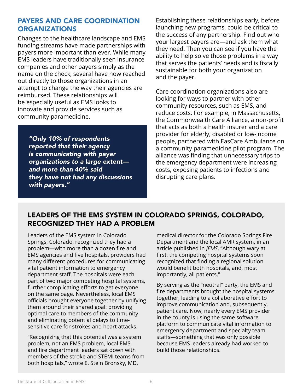## <span id="page-5-0"></span>PAYERS AND CARE COORDINATION ORGANIZATIONS

Changes to the healthcare landscape and EMS funding streams have made partnerships with payers more important than ever. While many EMS leaders have traditionally seen insurance companies and other payers simply as the name on the check, several have now reached out directly to those organizations in an attempt to change the way their agencies are reimbursed. These relationships will be especially useful as EMS looks to innovate and provide services such as community paramedicine.

*"Only 10% of respondents reported that their agency is communicating with payer organizations to a large extent and more than 40% said they have not had any discussions with payers."*

Establishing these relationships early, before launching new programs, could be critical to the success of any partnership. Find out who your largest payers are—and ask them what they need. Then you can see if you have the ability to help solve those problems in a way that serves the patients' needs and is fiscally sustainable for both your organization and the payer.

Care coordination organizations also are looking for ways to partner with other community resources, such as EMS, and reduce costs. For example, in Massachusetts, the Commonwealth Care Alliance, a non-profit that acts as both a health insurer and a care provider for elderly, disabled or low-income people, partnered with EasCare Ambulance on a community paramedicine pilot program. The alliance was finding that unnecessary trips to the emergency department were increasing costs, exposing patients to infections and disrupting care plans.

## LEADERS OF THE EMS SYSTEM IN COLORADO SPRINGS, COLORADO, RECOGNIZED THEY HAD A PROBLEM

Leaders of the EMS system in Colorado Springs, Colorado, recognized they had a problem—with more than a dozen fire and EMS agencies and five hospitals, providers had many different procedures for communicating vital patient information to emergency department staff. The hospitals were each part of two major competing hospital systems, further complicating efforts to get everyone on the same page. Nevertheless, local EMS officials brought everyone together by unifying them around their shared goal: providing optimal care to members of the community and eliminating potential delays to timesensitive care for strokes and heart attacks.

"Recognizing that this potential was a system problem, not an EMS problem, local EMS and fire department leaders sat down with members of the stroke and STEMI teams from both hospitals," wrote E. Stein Bronsky, MD,

medical director for the Colorado Springs Fire Department and the local AMR system, in an article published in *JEMS*. "Although wary at first, the competing hospital systems soon recognized that finding a regional solution would benefit both hospitals, and, most importantly, all patients."

By serving as the "neutral" party, the EMS and fire departments brought the hospital systems together, leading to a collaborative effort to improve communication and, subsequently, patient care. Now, nearly every EMS provider in the county is using the same software platform to communicate vital information to emergency department and specialty team staffs—something that was only possible because EMS leaders already had worked to build those relationships.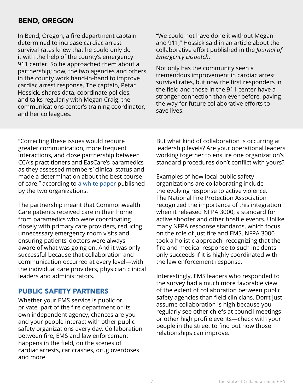## <span id="page-6-0"></span>BEND, OREGON

In Bend, Oregon, a fire department captain determined to increase cardiac arrest survival rates knew that he could only do it with the help of the county's emergency 911 center. So he approached them about a partnership; now, the two agencies and others in the county work hand-in-hand to improve cardiac arrest response. The captain, Petar Hossick, shares data, coordinate policies, and talks regularly with Megan Craig, the communications center's training coordinator, and her colleagues.

"We could not have done it without Megan and 911," Hossick said in an article about the collaborative effort published in the *Journal of Emergency Dispatch*.

Not only has the community seen a tremendous improvement in cardiac arrest survival rates, but now the first responders in the field and those in the 911 center have a stronger connection than ever before, paving the way for future collaborative efforts to save lives.

"Correcting these issues would require greater communication, more frequent interactions, and close partnership between CCA's practitioners and EasCare's paramedics as they assessed members' clinical status and made a determination about the best course of care," according to [a white paper](http://www.commonwealthcarealliance.org/getmedia/781f3835-4066-4a3f-9723-9336a4431c54/CCA-ACCP-White-Paper_September-22-16) published by the two organizations.

The partnership meant that Commonwealth Care patients received care in their home from paramedics who were coordinating closely with primary care providers, reducing unnecessary emergency room visits and ensuring patients' doctors were always aware of what was going on. And it was only successful because that collaboration and communication occurred at every level—with the individual care providers, physician clinical leaders and administrators.

## PUBLIC SAFETY PARTNERS

Whether your EMS service is public or private, part of the fire department or its own independent agency, chances are you and your people interact with other public safety organizations every day. Collaboration between fire, EMS and law enforcement happens in the field, on the scenes of cardiac arrests, car crashes, drug overdoses and more.

But what kind of collaboration is occurring at leadership levels? Are your operational leaders working together to ensure one organization's standard procedures don't conflict with yours?

Examples of how local public safety organizations are collaborating include the evolving response to active violence. The National Fire Protection Association recognized the importance of this integration when it released NFPA 3000, a standard for active shooter and other hostile events. Unlike many NFPA response standards, which focus on the role of just fire and EMS, NFPA 3000 took a holistic approach, recognizing that the fire and medical response to such incidents only succeeds if it is highly coordinated with the law enforcement response.

Interestingly, EMS leaders who responded to the survey had a much more favorable view of the extent of collaboration between public safety agencies than field clinicians. Don't just assume collaboration is high because you regularly see other chiefs at council meetings or other high profile events—check with your people in the street to find out how those relationships can improve.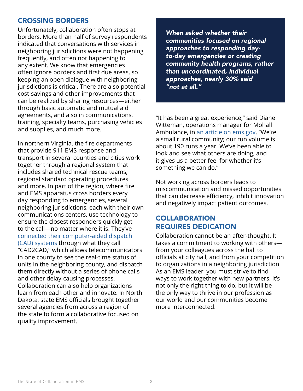## <span id="page-7-0"></span>CROSSING BORDERS

Unfortunately, collaboration often stops at borders. More than half of survey respondents indicated that conversations with services in neighboring jurisdictions were not happening frequently, and often not happening to any extent. We know that emergencies often ignore borders and first due areas, so keeping an open dialogue with neighboring jurisdictions is critical. There are also potential cost-savings and other improvements that can be realized by sharing resources—either through basic automatic and mutual aid agreements, and also in communications, training, specialty teams, purchasing vehicles and supplies, and much more.

In northern Virginia, the fire departments that provide 911 EMS response and transport in several counties and cities work together through a regional system that includes shared technical rescue teams, regional standard operating procedures and more. In part of the region, where fire and EMS apparatus cross borders every day responding to emergencies, several neighboring jurisdictions, each with their own communications centers, use technology to ensure the closest responders quickly get to the call—no matter where it is. They've [connected their computer-aided dispatch](https://www.youtube.com/watch?v=WMpVxDWvwCg)  [\(CAD\) systems](https://www.youtube.com/watch?v=WMpVxDWvwCg) through what they call "CAD2CAD," which allows telecommunicators in one county to see the real-time status of units in the neighboring county, and dispatch them directly without a series of phone calls and other delay-causing processes. Collaboration can also help organizations learn from each other and innovate. In North Dakota, state EMS officials brought together several agencies from across a region of the state to form a collaborative focused on quality improvement.

*When asked whether their communities focused on regional approaches to responding dayto-day emergencies or creating community health programs, rather than uncoordinated, individual approaches, nearly 30% said "not at all."*

"It has been a great experience," said Diane Witteman, operations manager for Mohall Ambulance, in [an article on ems.gov](https://www.ems.gov/newsletter/junejuly2016/collaborating-to-improve-care.html). "We're a small rural community; our run volume is about 190 runs a year. We've been able to look and see what others are doing, and it gives us a better feel for whether it's something we can do."

Not working across borders leads to miscommunication and missed opportunities that can decrease efficiency, inhibit innovation and negatively impact patient outcomes.

## **COLLABORATION** REQUIRES DEDICATION

Collaboration cannot be an after-thought. It takes a commitment to working with others from your colleagues across the hall to officials at city hall, and from your competition to organizations in a neighboring jurisdiction. As an EMS leader, you must strive to find ways to work together with new partners. It's not only the right thing to do, but it will be the only way to thrive in our profession as our world and our communities become more interconnected.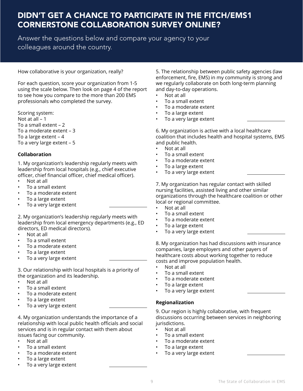## <span id="page-8-0"></span>DIDN'T GET A CHANCE TO PARTICIPATE IN THE FITCH/EMS1 CORNERSTONE COLLABORATION SURVEY ONLINE?

Answer the questions below and compare your agency to your colleagues around the country.

How collaborative is your organization, really?

For each question, score your organization from 1-5 using the scale below. Then look on page 4 of the report to see how you compare to the more than 200 EMS professionals who completed the survey.

Scoring system:

Not at all – 1 To a small extent – 2 To a moderate extent – 3 To a large extent – 4 To a very large extent – 5

#### **Collaboration**

1. My organization's leadership regularly meets with leadership from local hospitals (e.g., chief executive officer, chief financial officer, chief medical officer).

- Not at all
- To a small extent
- To a moderate extent
- To a large extent
- To a very large extent

2. My organization's leadership regularly meets with leadership from local emergency departments (e.g., ED directors, ED medical directors).

- Not at all
- To a small extent
- To a moderate extent
- To a large extent
- To a very large extent

3. Our relationship with local hospitals is a priority of the organization and its leadership.

- Not at all
- To a small extent
- To a moderate extent
- To a large extent
- To a very large extent

4. My organization understands the importance of a relationship with local public health officials and social services and is in regular contact with them about issues facing our community.

- Not at all
- To a small extent
- To a moderate extent
- To a large extent
- To a very large extent

5. The relationship between public safety agencies (law enforcement, fire, EMS) in my community is strong and we regularly collaborate on both long-term planning and day-to-day operations.

- Not at all
- To a small extent
- To a moderate extent
- To a large extent
- To a very large extent

6. My organization is active with a local healthcare coalition that includes health and hospital systems, EMS and public health.

- Not at all
- To a small extent
- To a moderate extent
- To a large extent
- To a very large extent

7. My organization has regular contact with skilled nursing facilities, assisted living and other similar organizations through the healthcare coalition or other local or regional committee.

- Not at all
- To a small extent
- To a moderate extent
- To a large extent
- To a very large extent

8. My organization has had discussions with insurance companies, large employers and other payers of healthcare costs about working together to reduce costs and improve population health.

- Not at all
- To a small extent
- To a moderate extent
- To a large extent
- To a very large extent

#### **Regionalization**

9. Our region is highly collaborative, with frequent discussions occurring between services in neighboring jurisdictions.

- Not at all
- To a small extent
- To a moderate extent
- To a large extent
- To a very large extent